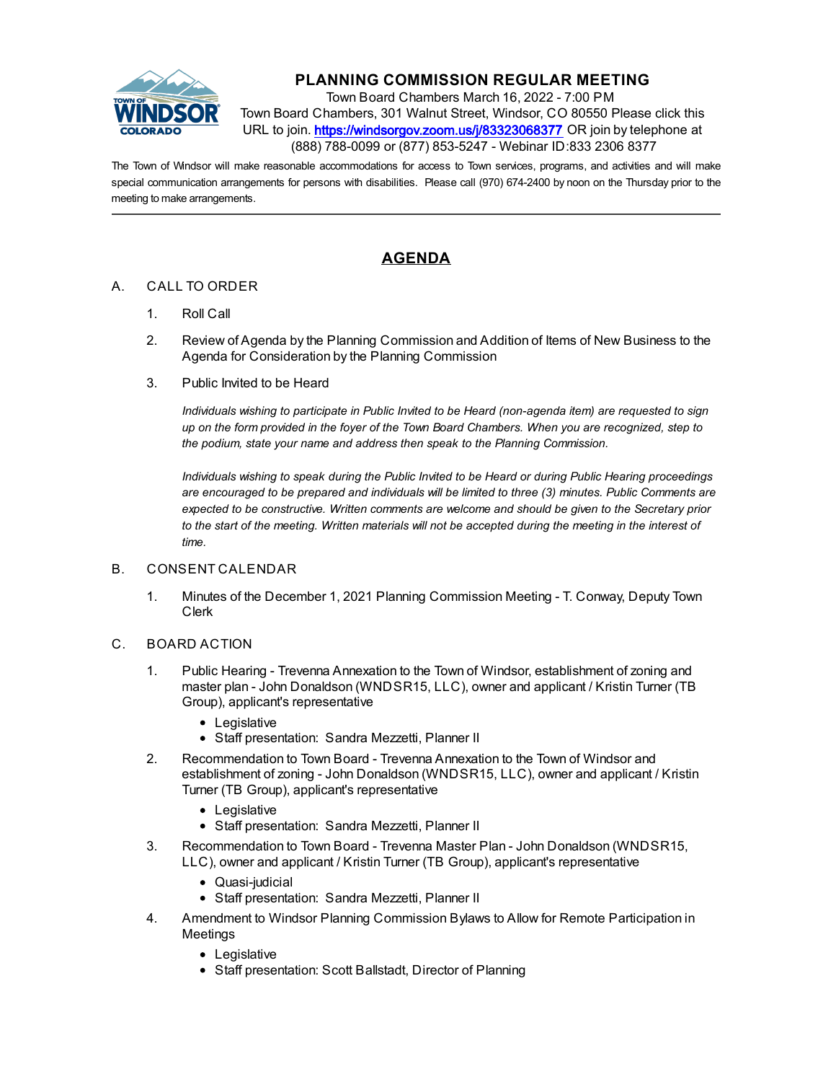

# **PLANNING COMMISSION REGULAR MEETING**

Town Board Chambers March 16, 2022 - 7:00 PM Town Board Chambers, 301 Walnut Street, Windsor, CO 80550 Please click this URL to join. https://windsorgov.zoom.us/j/83323068377 OR join by telephone at (888) 788-0099 or (877) 853-5247 - Webinar ID:833 2306 8377

The Town of Windsor will make reasonable accommodations for access to Town services, programs, and activities and will make special communication arrangements for persons with disabilities. Please call (970) 674-2400 by noon on the Thursday prior to the meeting to make arrangements.

# **AGENDA**

### A. CALL TO ORDER

- 1. Roll Call
- 2. Review of Agenda by the Planning Commission and Addition of Items of New Business to the Agenda for Consideration by the Planning Commission
- 3. Public Invited to be Heard

*Individuals wishing to participate in Public Invited to be Heard (non-agenda item) are requested to sign up on the form provided in the foyer of the Town Board Chambers. When you are recognized, step to the podium, state your name and address then speak to the Planning Commission.*

*Individuals wishing to speak during the Public Invited to be Heard or during Public Hearing proceedings are encouraged to be prepared and individuals will be limited to three (3) minutes. Public Comments are expected to be constructive. Written comments are welcome and should be given to the Secretary prior to the start of the meeting. Written materials will not be accepted during the meeting in the interest of time.*

#### B. CONSENT CALENDAR

- 1. [Minutes of the December 1, 2021 Planning Commission Meeting T. Conway, Deputy Town](file:///C:/Windows/TEMP/CoverSheet.aspx?ItemID=1874&MeetingID=359) Clerk
- C. BOARD ACTION
	- 1. Public Hearing Trevenna Annexation to the Town of Windsor, establishment of zoning and master plan - John Donaldson (WNDSR15, LLC), owner and applicant / Kristin Turner (TB Group), applicant's representative
		- Legislative
		- Staff presentation: Sandra Mezzetti, Planner II
	- 2. Recommendation to Town Board Trevenna Annexation to the Town of Windsor and [establishment of zoning - John Donaldson \(WNDSR15, LLC\), owner and applicant / Kristin](file:///C:/Windows/TEMP/CoverSheet.aspx?ItemID=1966&MeetingID=359) Turner (TB Group), applicant's representative
		- Legislative
		- Staff presentation: Sandra Mezzetti, Planner II
	- 3. [Recommendation to Town Board Trevenna Master Plan John Donaldson \(WNDSR15,](file:///C:/Windows/TEMP/CoverSheet.aspx?ItemID=1967&MeetingID=359) LLC), owner and applicant / Kristin Turner (TB Group), applicant's representative
		- Quasi-judicial
		- Staff presentation: Sandra Mezzetti, Planner II
	- 4. [Amendment to Windsor Planning Commission Bylaws to Allow for Remote Participation in](file:///C:/Windows/TEMP/CoverSheet.aspx?ItemID=1865&MeetingID=359) **Meetings** 
		- Legislative
		- Staff presentation: Scott Ballstadt, Director of Planning